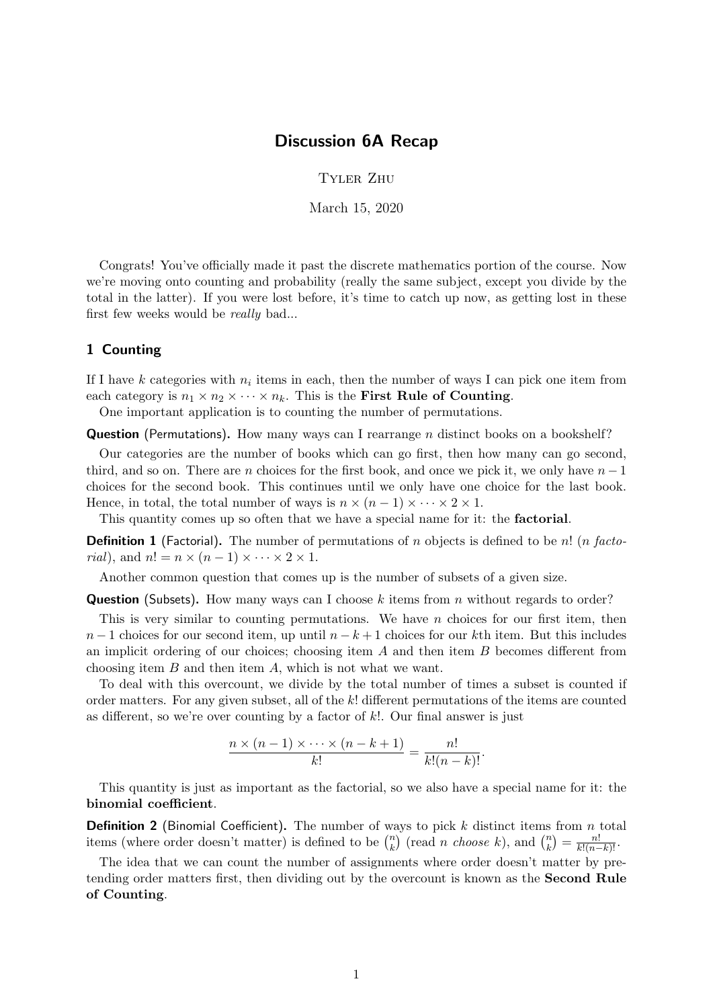## Discussion 6A Recap

Tyler Zhu

March 15, 2020

Congrats! You've officially made it past the discrete mathematics portion of the course. Now we're moving onto counting and probability (really the same subject, except you divide by the total in the latter). If you were lost before, it's time to catch up now, as getting lost in these first few weeks would be really bad...

## 1 Counting

If I have k categories with  $n_i$  items in each, then the number of ways I can pick one item from each category is  $n_1 \times n_2 \times \cdots \times n_k$ . This is the **First Rule of Counting**.

One important application is to counting the number of permutations.

**Question** (Permutations). How many ways can I rearrange *n* distinct books on a bookshelf?

Our categories are the number of books which can go first, then how many can go second, third, and so on. There are n choices for the first book, and once we pick it, we only have  $n-1$ choices for the second book. This continues until we only have one choice for the last book. Hence, in total, the total number of ways is  $n \times (n-1) \times \cdots \times 2 \times 1$ .

This quantity comes up so often that we have a special name for it: the **factorial**.

**Definition 1** (Factorial). The number of permutations of n objects is defined to be n! (n facto*rial*), and  $n! = n \times (n-1) \times \cdots \times 2 \times 1$ .

Another common question that comes up is the number of subsets of a given size.

**Question** (Subsets). How many ways can I choose k items from n without regards to order?

This is very similar to counting permutations. We have  $n$  choices for our first item, then  $n-1$  choices for our second item, up until  $n-k+1$  choices for our kth item. But this includes an implicit ordering of our choices; choosing item  $A$  and then item  $B$  becomes different from choosing item B and then item A, which is not what we want.

To deal with this overcount, we divide by the total number of times a subset is counted if order matters. For any given subset, all of the  $k!$  different permutations of the items are counted as different, so we're over counting by a factor of  $k$ !. Our final answer is just

$$
\frac{n \times (n-1) \times \cdots \times (n-k+1)}{k!} = \frac{n!}{k!(n-k)!}.
$$

This quantity is just as important as the factorial, so we also have a special name for it: the binomial coefficient.

**Definition 2** (Binomial Coefficient). The number of ways to pick  $k$  distinct items from  $n$  total items (where order doesn't matter) is defined to be  $\binom{n}{k}$  $\binom{n}{k}$  (read *n choose k*), and  $\binom{n}{k}$  $\binom{n}{k} = \frac{n!}{k!(n-k)!}.$ 

The idea that we can count the number of assignments where order doesn't matter by pretending order matters first, then dividing out by the overcount is known as the Second Rule of Counting.